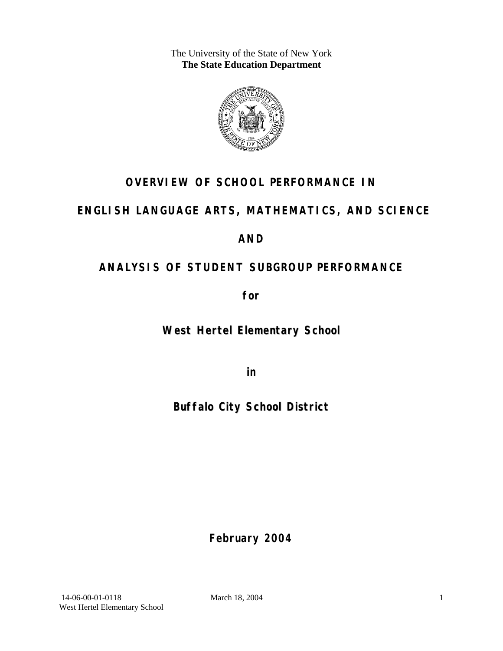The University of the State of New York **The State Education Department** 



# **OVERVIEW OF SCHOOL PERFORMANCE IN**

# **ENGLISH LANGUAGE ARTS, MATHEMATICS, AND SCIENCE**

# **AND**

# **ANALYSIS OF STUDENT SUBGROUP PERFORMANCE**

**for** 

**West Hertel Elementary School**

**in** 

**Buffalo City School District**

**February 2004**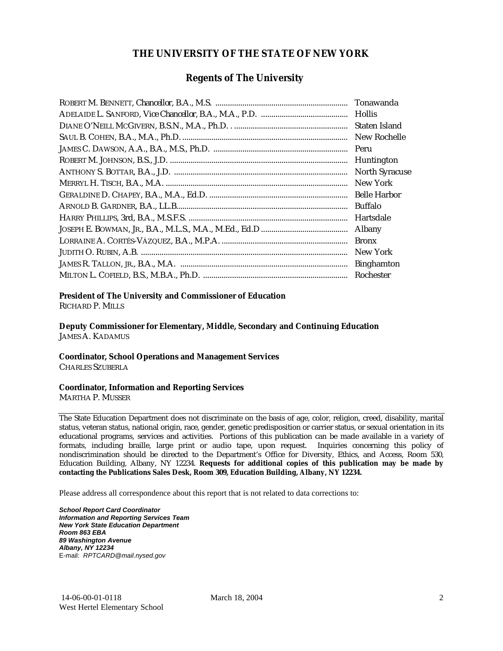## **THE UNIVERSITY OF THE STATE OF NEW YORK**

### **Regents of The University**

| Tonawanda             |
|-----------------------|
| <b>Hollis</b>         |
| Staten Island         |
| New Rochelle          |
| Peru                  |
| Huntington            |
| <b>North Syracuse</b> |
| New York              |
| <b>Belle Harbor</b>   |
| Buffalo               |
| Hartsdale             |
| Albany                |
| <b>Bronx</b>          |
| New York              |
| <b>Binghamton</b>     |
| Rochester             |

#### **President of The University and Commissioner of Education**

RICHARD P. MILLS

**Deputy Commissioner for Elementary, Middle, Secondary and Continuing Education**  JAMES A. KADAMUS

#### **Coordinator, School Operations and Management Services**

CHARLES SZUBERLA

#### **Coordinator, Information and Reporting Services**

MARTHA P. MUSSER

The State Education Department does not discriminate on the basis of age, color, religion, creed, disability, marital status, veteran status, national origin, race, gender, genetic predisposition or carrier status, or sexual orientation in its educational programs, services and activities. Portions of this publication can be made available in a variety of formats, including braille, large print or audio tape, upon request. Inquiries concerning this policy of nondiscrimination should be directed to the Department's Office for Diversity, Ethics, and Access, Room 530, Education Building, Albany, NY 12234. **Requests for additional copies of this publication may be made by contacting the Publications Sales Desk, Room 309, Education Building, Albany, NY 12234.** 

Please address all correspondence about this report that is not related to data corrections to:

*School Report Card Coordinator Information and Reporting Services Team New York State Education Department Room 863 EBA 89 Washington Avenue Albany, NY 12234*  E-mail: *RPTCARD@mail.nysed.gov*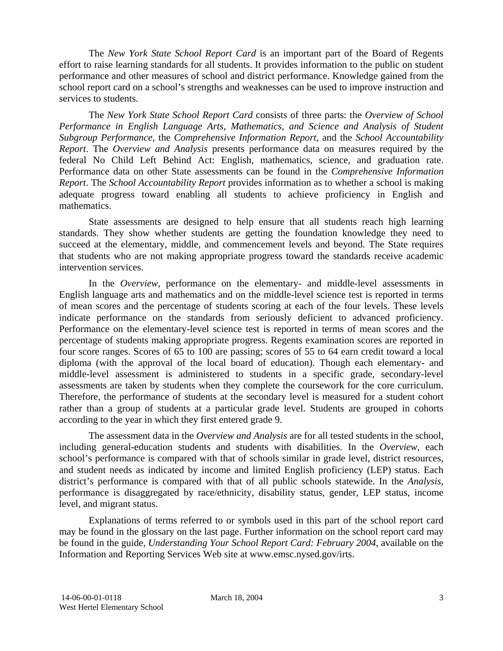The *New York State School Report Card* is an important part of the Board of Regents effort to raise learning standards for all students. It provides information to the public on student performance and other measures of school and district performance. Knowledge gained from the school report card on a school's strengths and weaknesses can be used to improve instruction and services to students.

The *New York State School Report Card* consists of three parts: the *Overview of School Performance in English Language Arts, Mathematics, and Science and Analysis of Student Subgroup Performance,* the *Comprehensive Information Report,* and the *School Accountability Report*. The *Overview and Analysis* presents performance data on measures required by the federal No Child Left Behind Act: English, mathematics, science, and graduation rate. Performance data on other State assessments can be found in the *Comprehensive Information Report*. The *School Accountability Report* provides information as to whether a school is making adequate progress toward enabling all students to achieve proficiency in English and mathematics.

State assessments are designed to help ensure that all students reach high learning standards. They show whether students are getting the foundation knowledge they need to succeed at the elementary, middle, and commencement levels and beyond. The State requires that students who are not making appropriate progress toward the standards receive academic intervention services.

In the *Overview*, performance on the elementary- and middle-level assessments in English language arts and mathematics and on the middle-level science test is reported in terms of mean scores and the percentage of students scoring at each of the four levels. These levels indicate performance on the standards from seriously deficient to advanced proficiency. Performance on the elementary-level science test is reported in terms of mean scores and the percentage of students making appropriate progress. Regents examination scores are reported in four score ranges. Scores of 65 to 100 are passing; scores of 55 to 64 earn credit toward a local diploma (with the approval of the local board of education). Though each elementary- and middle-level assessment is administered to students in a specific grade, secondary-level assessments are taken by students when they complete the coursework for the core curriculum. Therefore, the performance of students at the secondary level is measured for a student cohort rather than a group of students at a particular grade level. Students are grouped in cohorts according to the year in which they first entered grade 9.

The assessment data in the *Overview and Analysis* are for all tested students in the school, including general-education students and students with disabilities. In the *Overview*, each school's performance is compared with that of schools similar in grade level, district resources, and student needs as indicated by income and limited English proficiency (LEP) status. Each district's performance is compared with that of all public schools statewide. In the *Analysis*, performance is disaggregated by race/ethnicity, disability status, gender, LEP status, income level, and migrant status.

Explanations of terms referred to or symbols used in this part of the school report card may be found in the glossary on the last page. Further information on the school report card may be found in the guide, *Understanding Your School Report Card: February 2004*, available on the Information and Reporting Services Web site at www.emsc.nysed.gov/irts.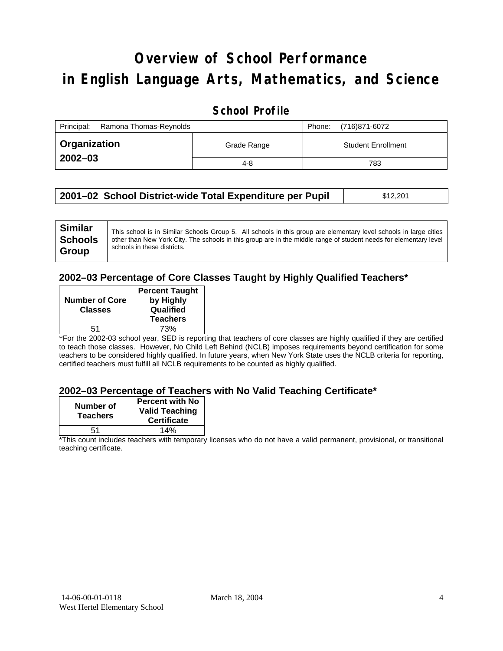# **Overview of School Performance in English Language Arts, Mathematics, and Science**

## **School Profile**

| Principal:<br>Ramona Thomas-Reynolds |             | Phone: | (716)871-6072             |
|--------------------------------------|-------------|--------|---------------------------|
| <b>Organization</b>                  | Grade Range |        | <b>Student Enrollment</b> |
| $2002 - 03$                          | 4-8         |        | 783                       |

| 2001–02 School District-wide Total Expenditure per Pupil | \$12,201 |
|----------------------------------------------------------|----------|
|----------------------------------------------------------|----------|

### **2002–03 Percentage of Core Classes Taught by Highly Qualified Teachers\***

| <b>Number of Core</b><br><b>Classes</b> | <b>Percent Taught</b><br>by Highly<br>Qualified<br><b>Teachers</b> |
|-----------------------------------------|--------------------------------------------------------------------|
| 51                                      | 73%                                                                |

\*For the 2002-03 school year, SED is reporting that teachers of core classes are highly qualified if they are certified to teach those classes. However, No Child Left Behind (NCLB) imposes requirements beyond certification for some teachers to be considered highly qualified. In future years, when New York State uses the NCLB criteria for reporting, certified teachers must fulfill all NCLB requirements to be counted as highly qualified.

#### **2002–03 Percentage of Teachers with No Valid Teaching Certificate\***

| Number of<br><b>Teachers</b> | <b>Percent with No</b><br><b>Valid Teaching</b><br><b>Certificate</b> |
|------------------------------|-----------------------------------------------------------------------|
| 51                           | 14%                                                                   |

\*This count includes teachers with temporary licenses who do not have a valid permanent, provisional, or transitional teaching certificate.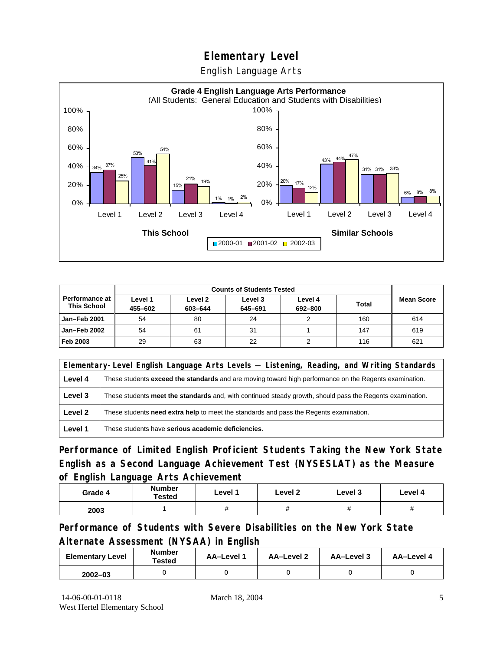English Language Arts



| Performance at<br><b>This School</b> | Level 1<br>455-602 | Level 2<br>603-644 | Level 3<br>645-691 | Level 4<br>692-800 | <b>Total</b> | <b>Mean Score</b> |
|--------------------------------------|--------------------|--------------------|--------------------|--------------------|--------------|-------------------|
| Jan-Feb 2001                         | 54                 | 80                 | 24                 |                    | 160          | 614               |
| Jan-Feb 2002                         | 54                 | 61                 | 31                 |                    | 147          | 619               |
| Feb 2003                             | 29                 | 63                 | 22                 |                    | 116          | 621               |

|         | Elementary-Level English Language Arts Levels — Listening, Reading, and Writing Standards                 |  |  |  |  |
|---------|-----------------------------------------------------------------------------------------------------------|--|--|--|--|
| Level 4 | These students exceed the standards and are moving toward high performance on the Regents examination.    |  |  |  |  |
| Level 3 | These students meet the standards and, with continued steady growth, should pass the Regents examination. |  |  |  |  |
| Level 2 | These students <b>need extra help</b> to meet the standards and pass the Regents examination.             |  |  |  |  |
| Level 1 | These students have serious academic deficiencies.                                                        |  |  |  |  |

**Performance of Limited English Proficient Students Taking the New York State English as a Second Language Achievement Test (NYSESLAT) as the Measure of English Language Arts Achievement**

| Grade 4 | <b>Number</b><br>Tested | Level 1           | Level 2 | Level 3  | Level 4            |
|---------|-------------------------|-------------------|---------|----------|--------------------|
| 2003    |                         | $^{\prime\prime}$ | π       | $^{\pi}$ | $\boldsymbol{\pi}$ |

**Performance of Students with Severe Disabilities on the New York State Alternate Assessment (NYSAA) in English** 

| <b>Elementary Level</b> | <b>Number</b><br>Tested | AA-Level | <b>AA-Level 2</b> | AA-Level 3 | AA-Level 4 |
|-------------------------|-------------------------|----------|-------------------|------------|------------|
| $2002 - 03$             |                         |          |                   |            |            |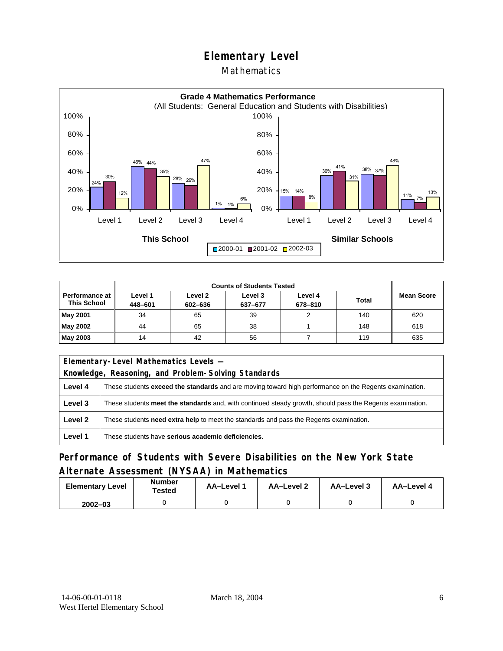## **Mathematics**



|                                             | <b>Counts of Students Tested</b> |                    |                    |                    |              |                   |
|---------------------------------------------|----------------------------------|--------------------|--------------------|--------------------|--------------|-------------------|
| <b>Performance at</b><br><b>This School</b> | Level 1<br>448-601               | Level 2<br>602-636 | Level 3<br>637-677 | Level 4<br>678-810 | <b>Total</b> | <b>Mean Score</b> |
| <b>May 2001</b>                             | 34                               | 65                 | 39                 |                    | 140          | 620               |
| May 2002                                    | 44                               | 65                 | 38                 |                    | 148          | 618               |
| May 2003                                    | 14                               | 42                 | 56                 |                    | 119          | 635               |

|                                                                                                   | Elementary-Level Mathematics Levels -                                                                         |  |  |  |
|---------------------------------------------------------------------------------------------------|---------------------------------------------------------------------------------------------------------------|--|--|--|
|                                                                                                   | Knowledge, Reasoning, and Problem-Solving Standards                                                           |  |  |  |
| Level 4                                                                                           | These students <b>exceed the standards</b> and are moving toward high performance on the Regents examination. |  |  |  |
| Level 3                                                                                           | These students meet the standards and, with continued steady growth, should pass the Regents examination.     |  |  |  |
| Level 2<br>These students need extra help to meet the standards and pass the Regents examination. |                                                                                                               |  |  |  |
| Level 1                                                                                           | These students have serious academic deficiencies.                                                            |  |  |  |

## **Performance of Students with Severe Disabilities on the New York State Alternate Assessment (NYSAA) in Mathematics**

| <b>Elementary Level</b> | <b>Number</b><br>Tested | <b>AA-Level 1</b> | AA-Level 2 | AA-Level 3 | AA-Level 4 |
|-------------------------|-------------------------|-------------------|------------|------------|------------|
| $2002 - 03$             |                         |                   |            |            |            |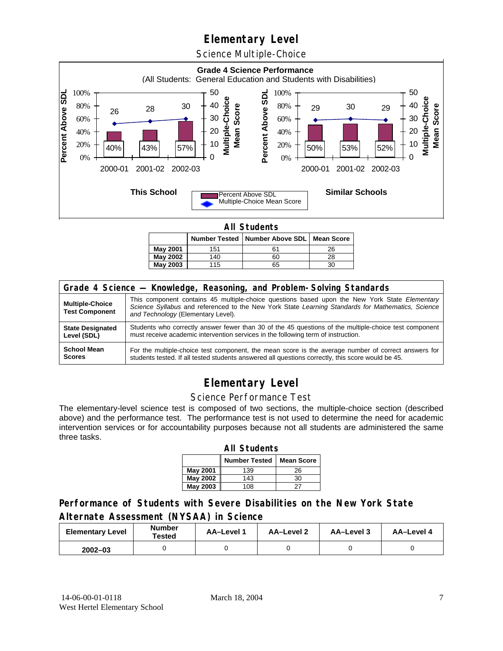Science Multiple-Choice



**All Students** 

|                 |     | Number Tested   Number Above SDL   Mean Score |    |  |  |  |  |
|-----------------|-----|-----------------------------------------------|----|--|--|--|--|
| May 2001        | 151 | 61                                            | 26 |  |  |  |  |
| <b>May 2002</b> | 140 | 60                                            | 28 |  |  |  |  |
| <b>May 2003</b> | 115 | 65                                            |    |  |  |  |  |

| Grade 4 Science - Knowledge, Reasoning, and Problem-Solving Standards |                                                                                                                                                                                                                                          |  |  |  |  |
|-----------------------------------------------------------------------|------------------------------------------------------------------------------------------------------------------------------------------------------------------------------------------------------------------------------------------|--|--|--|--|
| <b>Multiple-Choice</b><br><b>Test Component</b>                       | This component contains 45 multiple-choice questions based upon the New York State Elementary<br>Science Syllabus and referenced to the New York State Learning Standards for Mathematics, Science<br>and Technology (Elementary Level). |  |  |  |  |
| <b>State Designated</b>                                               | Students who correctly answer fewer than 30 of the 45 questions of the multiple-choice test component                                                                                                                                    |  |  |  |  |
| Level (SDL)                                                           | must receive academic intervention services in the following term of instruction.                                                                                                                                                        |  |  |  |  |
| <b>School Mean</b>                                                    | For the multiple-choice test component, the mean score is the average number of correct answers for                                                                                                                                      |  |  |  |  |
| <b>Scores</b>                                                         | students tested. If all tested students answered all questions correctly, this score would be 45.                                                                                                                                        |  |  |  |  |

# **Elementary Level**

#### Science Performance Test

The elementary-level science test is composed of two sections, the multiple-choice section (described above) and the performance test. The performance test is not used to determine the need for academic intervention services or for accountability purposes because not all students are administered the same three tasks.

| <b>All Students</b>                       |     |    |  |  |  |  |
|-------------------------------------------|-----|----|--|--|--|--|
| <b>Number Tested</b><br><b>Mean Score</b> |     |    |  |  |  |  |
| May 2001                                  | 139 | 26 |  |  |  |  |
| May 2002                                  | 143 | 30 |  |  |  |  |
| <b>May 2003</b>                           | 108 | フラ |  |  |  |  |

## **Performance of Students with Severe Disabilities on the New York State Alternate Assessment (NYSAA) in Science**

| <b>Elementary Level</b> | <b>Number</b><br>Tested | AA-Level 1 | <b>AA-Level 2</b> | AA-Level 3 | AA-Level 4 |
|-------------------------|-------------------------|------------|-------------------|------------|------------|
| $2002 - 03$             |                         |            |                   |            |            |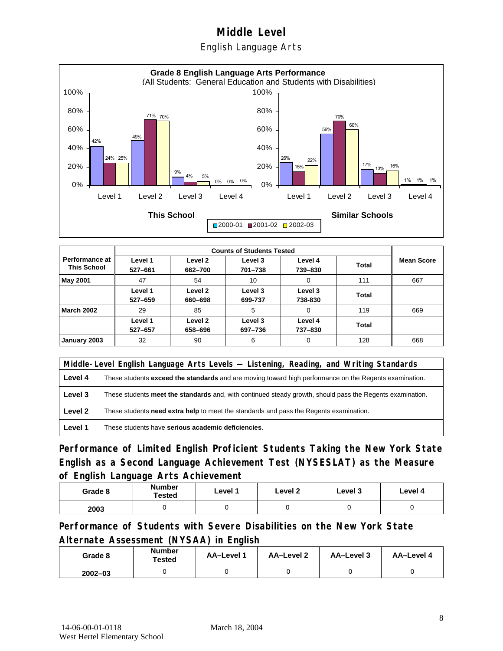English Language Arts



|                                             |                    | <b>Counts of Students Tested</b> |                    |                    |              |                   |  |  |
|---------------------------------------------|--------------------|----------------------------------|--------------------|--------------------|--------------|-------------------|--|--|
| <b>Performance at</b><br><b>This School</b> | Level 1<br>527-661 | Level 2<br>662-700               | Level 3<br>701-738 | Level 4<br>739-830 | <b>Total</b> | <b>Mean Score</b> |  |  |
| May 2001                                    | 47                 | 54                               | 10                 | 0                  | 111          | 667               |  |  |
|                                             | Level 1<br>527-659 | Level 2<br>660-698               | Level 3<br>699-737 | Level 3<br>738-830 | Total        |                   |  |  |
| <b>March 2002</b>                           | 29                 | 85                               | 5                  | 0                  | 119          | 669               |  |  |
|                                             | Level 1<br>527-657 | Level 2<br>658-696               | Level 3<br>697-736 | Level 4<br>737-830 | Total        |                   |  |  |
| January 2003                                | 32                 | 90                               | 6                  | 0                  | 128          | 668               |  |  |

|         | Middle-Level English Language Arts Levels — Listening, Reading, and Writing Standards                         |  |  |  |  |
|---------|---------------------------------------------------------------------------------------------------------------|--|--|--|--|
| Level 4 | These students <b>exceed the standards</b> and are moving toward high performance on the Regents examination. |  |  |  |  |
| Level 3 | These students meet the standards and, with continued steady growth, should pass the Regents examination.     |  |  |  |  |
| Level 2 | These students <b>need extra help</b> to meet the standards and pass the Regents examination.                 |  |  |  |  |
| Level 1 | These students have serious academic deficiencies.                                                            |  |  |  |  |

**Performance of Limited English Proficient Students Taking the New York State English as a Second Language Achievement Test (NYSESLAT) as the Measure of English Language Arts Achievement**

| Grade 8 | <b>Number</b><br>Tested | Level 1 | Level 2 | Level 3 | Level 4 |
|---------|-------------------------|---------|---------|---------|---------|
| 2003    |                         |         |         |         |         |

**Performance of Students with Severe Disabilities on the New York State Alternate Assessment (NYSAA) in English** 

| Grade 8     | Number<br>Tested | AA-Level 1 | AA-Level 2 | AA-Level 3 | AA-Level 4 |
|-------------|------------------|------------|------------|------------|------------|
| $2002 - 03$ |                  |            |            |            |            |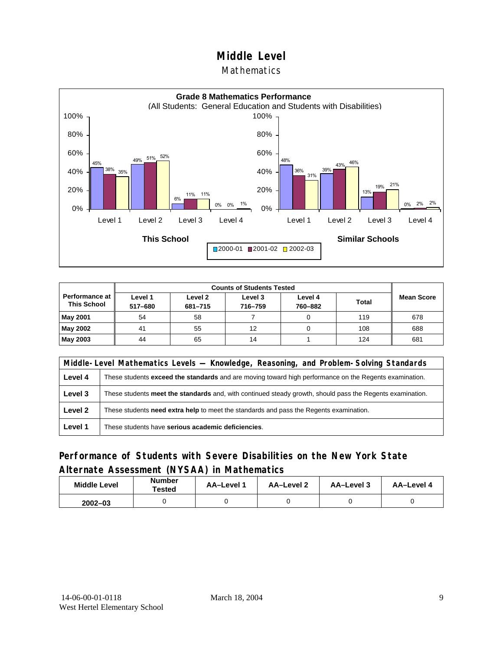### Mathematics



|                                             | <b>Counts of Students Tested</b> |                    |                    |                    |              |                   |
|---------------------------------------------|----------------------------------|--------------------|--------------------|--------------------|--------------|-------------------|
| <b>Performance at</b><br><b>This School</b> | Level 1<br>517-680               | Level 2<br>681-715 | Level 3<br>716-759 | Level 4<br>760-882 | <b>Total</b> | <b>Mean Score</b> |
| <b>May 2001</b>                             | 54                               | 58                 |                    |                    | 119          | 678               |
| May 2002                                    | 41                               | 55                 | 12                 |                    | 108          | 688               |
| <b>May 2003</b>                             | 44                               | 65                 | 14                 |                    | 124          | 681               |

|         | Middle-Level Mathematics Levels — Knowledge, Reasoning, and Problem-Solving Standards                         |  |  |  |  |
|---------|---------------------------------------------------------------------------------------------------------------|--|--|--|--|
| Level 4 | These students <b>exceed the standards</b> and are moving toward high performance on the Regents examination. |  |  |  |  |
| Level 3 | These students meet the standards and, with continued steady growth, should pass the Regents examination.     |  |  |  |  |
| Level 2 | These students <b>need extra help</b> to meet the standards and pass the Regents examination.                 |  |  |  |  |
| Level 1 | These students have serious academic deficiencies.                                                            |  |  |  |  |

## **Performance of Students with Severe Disabilities on the New York State Alternate Assessment (NYSAA) in Mathematics**

| <b>Middle Level</b> | <b>Number</b><br>Tested | <b>AA-Level</b> | AA-Level 2 | AA-Level 3 | AA-Level 4 |
|---------------------|-------------------------|-----------------|------------|------------|------------|
| $2002 - 03$         |                         |                 |            |            |            |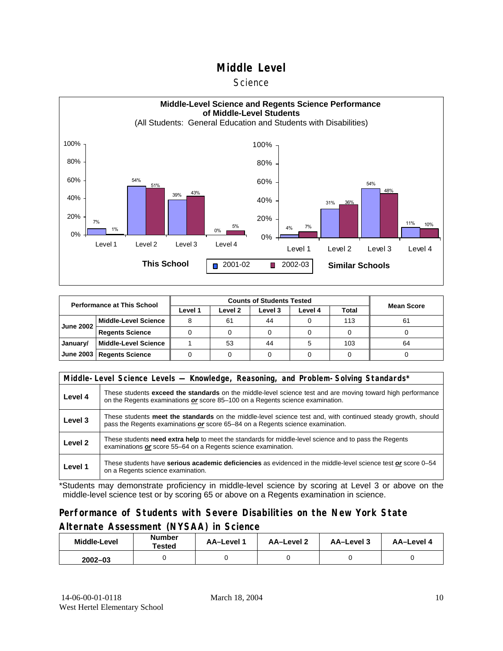#### **Science**



| <b>Performance at This School</b> |                             |         | <b>Mean Score</b> |         |         |       |    |
|-----------------------------------|-----------------------------|---------|-------------------|---------|---------|-------|----|
|                                   |                             | Level 1 | Level 2           | Level 3 | Level 4 | Total |    |
| <b>June 2002</b>                  | <b>Middle-Level Science</b> |         | 61                | 44      |         | 113   | 61 |
|                                   | <b>Regents Science</b>      |         |                   |         |         |       |    |
| January/                          | <b>Middle-Level Science</b> |         | 53                | 44      |         | 103   | 64 |
| June 2003                         | <b>Regents Science</b>      |         |                   |         |         |       |    |

|         | Middle-Level Science Levels — Knowledge, Reasoning, and Problem-Solving Standards*                                                                                                                  |  |  |  |  |  |  |  |
|---------|-----------------------------------------------------------------------------------------------------------------------------------------------------------------------------------------------------|--|--|--|--|--|--|--|
| Level 4 | These students <b>exceed the standards</b> on the middle-level science test and are moving toward high performance<br>on the Regents examinations or score 85–100 on a Regents science examination. |  |  |  |  |  |  |  |
| Level 3 | These students meet the standards on the middle-level science test and, with continued steady growth, should<br>pass the Regents examinations or score 65–84 on a Regents science examination.      |  |  |  |  |  |  |  |
| Level 2 | These students need extra help to meet the standards for middle-level science and to pass the Regents<br>examinations or score 55–64 on a Regents science examination.                              |  |  |  |  |  |  |  |
| Level 1 | These students have serious academic deficiencies as evidenced in the middle-level science test or score 0–54<br>on a Regents science examination.                                                  |  |  |  |  |  |  |  |

\*Students may demonstrate proficiency in middle-level science by scoring at Level 3 or above on the middle-level science test or by scoring 65 or above on a Regents examination in science.

## **Performance of Students with Severe Disabilities on the New York State Alternate Assessment (NYSAA) in Science**

| Middle-Level | <b>Number</b><br>AA-Level 1<br>Tested |  | AA-Level 2 | AA-Level 3 | AA-Level 4 |  |
|--------------|---------------------------------------|--|------------|------------|------------|--|
| $2002 - 03$  |                                       |  |            |            |            |  |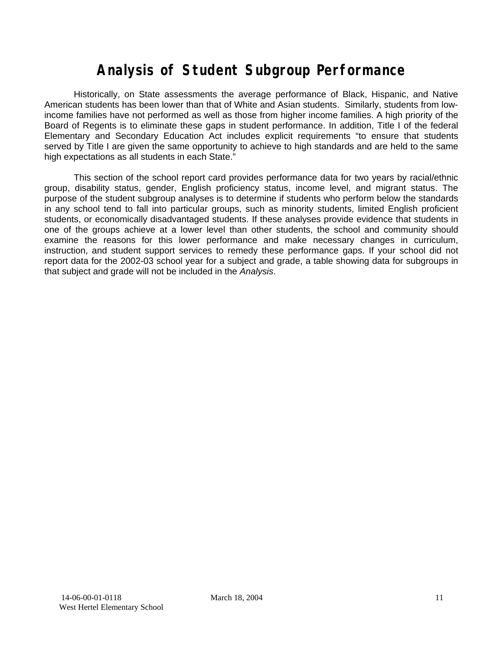# **Analysis of Student Subgroup Performance**

Historically, on State assessments the average performance of Black, Hispanic, and Native American students has been lower than that of White and Asian students. Similarly, students from lowincome families have not performed as well as those from higher income families. A high priority of the Board of Regents is to eliminate these gaps in student performance. In addition, Title I of the federal Elementary and Secondary Education Act includes explicit requirements "to ensure that students served by Title I are given the same opportunity to achieve to high standards and are held to the same high expectations as all students in each State."

This section of the school report card provides performance data for two years by racial/ethnic group, disability status, gender, English proficiency status, income level, and migrant status. The purpose of the student subgroup analyses is to determine if students who perform below the standards in any school tend to fall into particular groups, such as minority students, limited English proficient students, or economically disadvantaged students. If these analyses provide evidence that students in one of the groups achieve at a lower level than other students, the school and community should examine the reasons for this lower performance and make necessary changes in curriculum, instruction, and student support services to remedy these performance gaps. If your school did not report data for the 2002-03 school year for a subject and grade, a table showing data for subgroups in that subject and grade will not be included in the *Analysis*.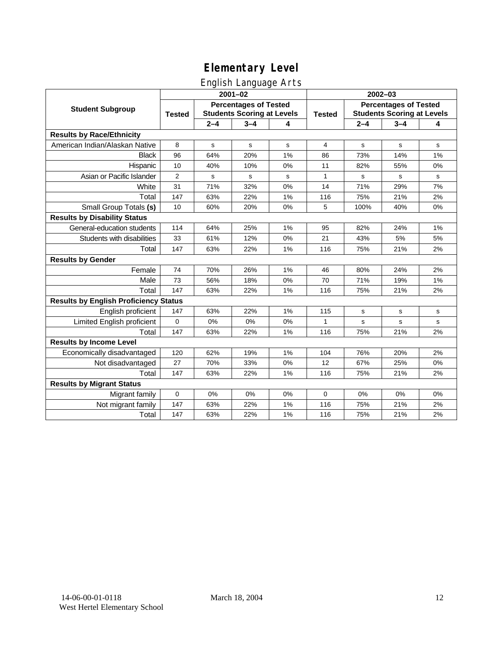# English Language Arts

|                                              |                |                                                                   | ັ<br>$2001 - 02$ |    | 2002-03       |                                                                   |             |             |  |
|----------------------------------------------|----------------|-------------------------------------------------------------------|------------------|----|---------------|-------------------------------------------------------------------|-------------|-------------|--|
| <b>Student Subgroup</b>                      | <b>Tested</b>  | <b>Percentages of Tested</b><br><b>Students Scoring at Levels</b> |                  |    | <b>Tested</b> | <b>Percentages of Tested</b><br><b>Students Scoring at Levels</b> |             |             |  |
|                                              |                | $2 - 4$                                                           | $3 - 4$          | 4  |               | $2 - 4$                                                           | $3 - 4$     | 4           |  |
| <b>Results by Race/Ethnicity</b>             |                |                                                                   |                  |    |               |                                                                   |             |             |  |
| American Indian/Alaskan Native               | 8              | $\mathbf s$                                                       | $\mathbf s$      | s  | 4             | s                                                                 | $\mathbf s$ | ${\tt s}$   |  |
| <b>Black</b>                                 | 96             | 64%                                                               | 20%              | 1% | 86            | 73%                                                               | 14%         | 1%          |  |
| Hispanic                                     | 10             | 40%                                                               | 10%              | 0% | 11            | 82%                                                               | 55%         | 0%          |  |
| Asian or Pacific Islander                    | $\overline{2}$ | s                                                                 | s                | s  | $\mathbf{1}$  | s                                                                 | s           | s           |  |
| White                                        | 31             | 71%                                                               | 32%              | 0% | 14            | 71%                                                               | 29%         | 7%          |  |
| Total                                        | 147            | 63%                                                               | 22%              | 1% | 116           | 75%                                                               | 21%         | 2%          |  |
| Small Group Totals (s)                       | 10             | 60%                                                               | 20%              | 0% | 5             | 100%                                                              | 40%         | 0%          |  |
| <b>Results by Disability Status</b>          |                |                                                                   |                  |    |               |                                                                   |             |             |  |
| General-education students                   | 114            | 64%                                                               | 25%              | 1% | 95            | 82%                                                               | 24%         | 1%          |  |
| Students with disabilities                   | 33             | 61%                                                               | 12%              | 0% | 21            | 43%                                                               | 5%          | 5%          |  |
| Total                                        | 147            | 63%                                                               | 22%              | 1% | 116           | 75%                                                               | 21%         | 2%          |  |
| <b>Results by Gender</b>                     |                |                                                                   |                  |    |               |                                                                   |             |             |  |
| Female                                       | 74             | 70%                                                               | 26%              | 1% | 46            | 80%                                                               | 24%         | 2%          |  |
| Male                                         | 73             | 56%                                                               | 18%              | 0% | 70            | 71%                                                               | 19%         | 1%          |  |
| Total                                        | 147            | 63%                                                               | 22%              | 1% | 116           | 75%                                                               | 21%         | 2%          |  |
| <b>Results by English Proficiency Status</b> |                |                                                                   |                  |    |               |                                                                   |             |             |  |
| English proficient                           | 147            | 63%                                                               | 22%              | 1% | 115           | s                                                                 | s           | s           |  |
| Limited English proficient                   | $\mathbf 0$    | 0%                                                                | 0%               | 0% | 1             | s                                                                 | $\mathbf s$ | $\mathbf s$ |  |
| Total                                        | 147            | 63%                                                               | 22%              | 1% | 116           | 75%                                                               | 21%         | 2%          |  |
| <b>Results by Income Level</b>               |                |                                                                   |                  |    |               |                                                                   |             |             |  |
| Economically disadvantaged                   | 120            | 62%                                                               | 19%              | 1% | 104           | 76%                                                               | 20%         | 2%          |  |
| Not disadvantaged                            | 27             | 70%                                                               | 33%              | 0% | 12            | 67%                                                               | 25%         | 0%          |  |
| Total                                        | 147            | 63%                                                               | 22%              | 1% | 116           | 75%                                                               | 21%         | 2%          |  |
| <b>Results by Migrant Status</b>             |                |                                                                   |                  |    |               |                                                                   |             |             |  |
| Migrant family                               | $\mathbf 0$    | 0%                                                                | 0%               | 0% | 0             | 0%                                                                | 0%          | 0%          |  |
| Not migrant family                           | 147            | 63%                                                               | 22%              | 1% | 116           | 75%                                                               | 21%         | 2%          |  |
| Total                                        | 147            | 63%                                                               | 22%              | 1% | 116           | 75%                                                               | 21%         | 2%          |  |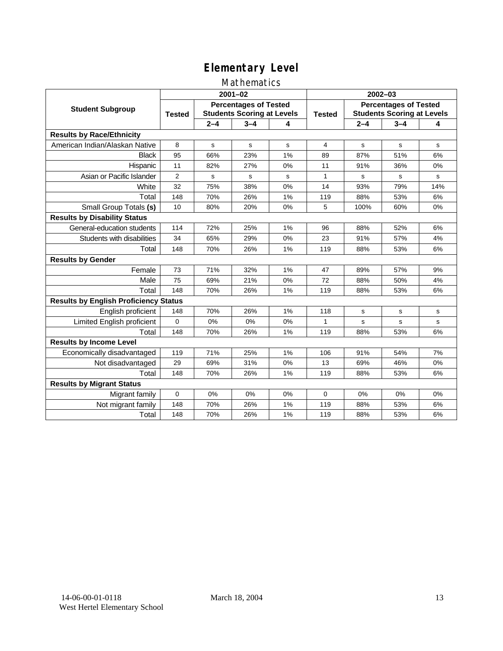## Mathematics

|                                              |                |                                                                   | $2001 - 02$ |    | $2002 - 03$ |                                                                   |         |     |  |
|----------------------------------------------|----------------|-------------------------------------------------------------------|-------------|----|-------------|-------------------------------------------------------------------|---------|-----|--|
| <b>Student Subgroup</b>                      | <b>Tested</b>  | <b>Percentages of Tested</b><br><b>Students Scoring at Levels</b> |             |    |             | <b>Percentages of Tested</b><br><b>Students Scoring at Levels</b> |         |     |  |
|                                              |                | $2 - 4$                                                           | $3 - 4$     | 4  |             | $2 - 4$                                                           | $3 - 4$ | 4   |  |
| <b>Results by Race/Ethnicity</b>             |                |                                                                   |             |    |             |                                                                   |         |     |  |
| American Indian/Alaskan Native               | 8              | s                                                                 | s           | s  | 4           | s                                                                 | s       | s   |  |
| <b>Black</b>                                 | 95             | 66%                                                               | 23%         | 1% | 89          | 87%                                                               | 51%     | 6%  |  |
| Hispanic                                     | 11             | 82%                                                               | 27%         | 0% | 11          | 91%                                                               | 36%     | 0%  |  |
| Asian or Pacific Islander                    | $\overline{2}$ | s                                                                 | s           | s  | 1           | s                                                                 | s       | s   |  |
| White                                        | 32             | 75%                                                               | 38%         | 0% | 14          | 93%                                                               | 79%     | 14% |  |
| Total                                        | 148            | 70%                                                               | 26%         | 1% | 119         | 88%                                                               | 53%     | 6%  |  |
| Small Group Totals (s)                       | 10             | 80%                                                               | 20%         | 0% | 5           | 100%                                                              | 60%     | 0%  |  |
| <b>Results by Disability Status</b>          |                |                                                                   |             |    |             |                                                                   |         |     |  |
| General-education students                   | 114            | 72%                                                               | 25%         | 1% | 96          | 88%                                                               | 52%     | 6%  |  |
| Students with disabilities                   | 34             | 65%                                                               | 29%         | 0% | 23          | 91%                                                               | 57%     | 4%  |  |
| Total                                        | 148            | 70%                                                               | 26%         | 1% | 119         | 88%                                                               | 53%     | 6%  |  |
| <b>Results by Gender</b>                     |                |                                                                   |             |    |             |                                                                   |         |     |  |
| Female                                       | 73             | 71%                                                               | 32%         | 1% | 47          | 89%                                                               | 57%     | 9%  |  |
| Male                                         | 75             | 69%                                                               | 21%         | 0% | 72          | 88%                                                               | 50%     | 4%  |  |
| Total                                        | 148            | 70%                                                               | 26%         | 1% | 119         | 88%                                                               | 53%     | 6%  |  |
| <b>Results by English Proficiency Status</b> |                |                                                                   |             |    |             |                                                                   |         |     |  |
| English proficient                           | 148            | 70%                                                               | 26%         | 1% | 118         | s                                                                 | s       | s   |  |
| Limited English proficient                   | 0              | 0%                                                                | 0%          | 0% | 1           | s                                                                 | s       | s   |  |
| Total                                        | 148            | 70%                                                               | 26%         | 1% | 119         | 88%                                                               | 53%     | 6%  |  |
| <b>Results by Income Level</b>               |                |                                                                   |             |    |             |                                                                   |         |     |  |
| Economically disadvantaged                   | 119            | 71%                                                               | 25%         | 1% | 106         | 91%                                                               | 54%     | 7%  |  |
| Not disadvantaged                            | 29             | 69%                                                               | 31%         | 0% | 13          | 69%                                                               | 46%     | 0%  |  |
| Total                                        | 148            | 70%                                                               | 26%         | 1% | 119         | 88%                                                               | 53%     | 6%  |  |
| <b>Results by Migrant Status</b>             |                |                                                                   |             |    |             |                                                                   |         |     |  |
| Migrant family                               | 0              | 0%                                                                | 0%          | 0% | $\Omega$    | 0%                                                                | 0%      | 0%  |  |
| Not migrant family                           | 148            | 70%                                                               | 26%         | 1% | 119         | 88%                                                               | 53%     | 6%  |  |
| Total                                        | 148            | 70%                                                               | 26%         | 1% | 119         | 88%                                                               | 53%     | 6%  |  |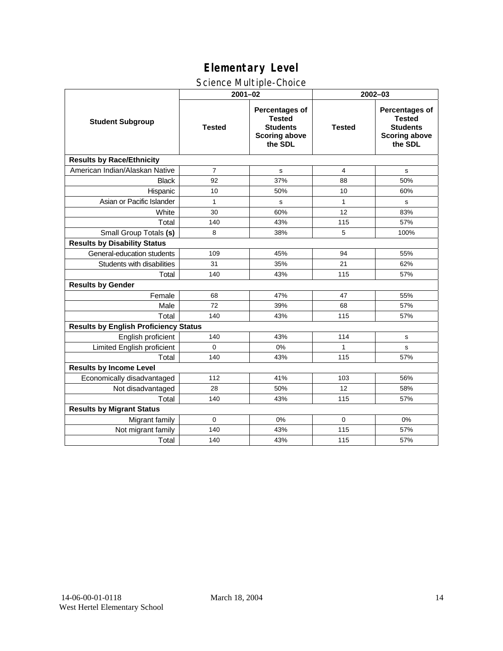## Science Multiple-Choice

|                                              |                | $2001 - 02$                                                                           | 2002-03       |                                                                                              |  |  |
|----------------------------------------------|----------------|---------------------------------------------------------------------------------------|---------------|----------------------------------------------------------------------------------------------|--|--|
| <b>Student Subgroup</b>                      | <b>Tested</b>  | Percentages of<br><b>Tested</b><br><b>Students</b><br><b>Scoring above</b><br>the SDL | <b>Tested</b> | <b>Percentages of</b><br><b>Tested</b><br><b>Students</b><br><b>Scoring above</b><br>the SDL |  |  |
| <b>Results by Race/Ethnicity</b>             |                |                                                                                       |               |                                                                                              |  |  |
| American Indian/Alaskan Native               | $\overline{7}$ | s                                                                                     | 4             | s                                                                                            |  |  |
| <b>Black</b>                                 | 92             | 37%                                                                                   | 88            | 50%                                                                                          |  |  |
| Hispanic                                     | 10             | 50%                                                                                   | 10            | 60%                                                                                          |  |  |
| Asian or Pacific Islander                    | $\mathbf{1}$   | s                                                                                     | $\mathbf{1}$  | s                                                                                            |  |  |
| White                                        | 30             | 60%                                                                                   | 12            | 83%                                                                                          |  |  |
| Total                                        | 140            | 43%                                                                                   | 115           | 57%                                                                                          |  |  |
| Small Group Totals (s)                       | 8              | 38%                                                                                   | 5             | 100%                                                                                         |  |  |
| <b>Results by Disability Status</b>          |                |                                                                                       |               |                                                                                              |  |  |
| General-education students                   | 109            | 45%                                                                                   | 94            | 55%                                                                                          |  |  |
| Students with disabilities                   | 31             | 35%                                                                                   | 21            | 62%                                                                                          |  |  |
| Total                                        | 140            | 43%                                                                                   | 115           | 57%                                                                                          |  |  |
| <b>Results by Gender</b>                     |                |                                                                                       |               |                                                                                              |  |  |
| Female                                       | 68             | 47%                                                                                   | 47            | 55%                                                                                          |  |  |
| Male                                         | 72             | 39%                                                                                   | 68            | 57%                                                                                          |  |  |
| Total                                        | 140            | 43%                                                                                   | 115           | 57%                                                                                          |  |  |
| <b>Results by English Proficiency Status</b> |                |                                                                                       |               |                                                                                              |  |  |
| English proficient                           | 140            | 43%                                                                                   | 114           | s                                                                                            |  |  |
| Limited English proficient                   | 0              | 0%                                                                                    | 1             | s                                                                                            |  |  |
| Total                                        | 140            | 43%                                                                                   | 115           | 57%                                                                                          |  |  |
| <b>Results by Income Level</b>               |                |                                                                                       |               |                                                                                              |  |  |
| Economically disadvantaged                   | 112            | 41%                                                                                   | 103           | 56%                                                                                          |  |  |
| Not disadvantaged                            | 28             | 50%                                                                                   | 12            | 58%                                                                                          |  |  |
| Total                                        | 140            | 43%                                                                                   | 115           | 57%                                                                                          |  |  |
| <b>Results by Migrant Status</b>             |                |                                                                                       |               |                                                                                              |  |  |
| Migrant family                               | $\Omega$       | 0%                                                                                    | $\Omega$      | 0%                                                                                           |  |  |
| Not migrant family                           | 140            | 43%                                                                                   | 115           | 57%                                                                                          |  |  |
| Total                                        | 140            | 43%                                                                                   | 115           | 57%                                                                                          |  |  |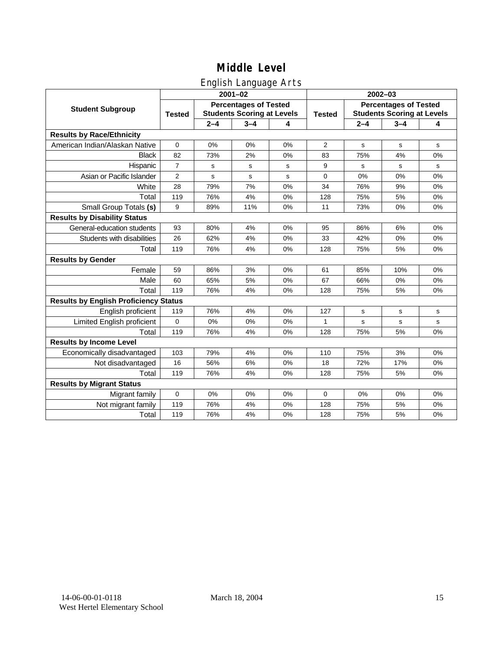## English Language Arts

|                                              |                |                                                                   | ັ<br>$2001 - 02$ |       | 2002-03        |                                                                   |             |             |  |
|----------------------------------------------|----------------|-------------------------------------------------------------------|------------------|-------|----------------|-------------------------------------------------------------------|-------------|-------------|--|
| <b>Student Subgroup</b>                      | <b>Tested</b>  | <b>Percentages of Tested</b><br><b>Students Scoring at Levels</b> |                  |       | <b>Tested</b>  | <b>Percentages of Tested</b><br><b>Students Scoring at Levels</b> |             |             |  |
|                                              |                | $2 - 4$                                                           | $3 - 4$          | 4     |                | $2 - 4$                                                           | $3 - 4$     | 4           |  |
| <b>Results by Race/Ethnicity</b>             |                |                                                                   |                  |       |                |                                                                   |             |             |  |
| American Indian/Alaskan Native               | $\mathbf 0$    | 0%                                                                | 0%               | 0%    | $\overline{2}$ | s                                                                 | s           | ${\tt s}$   |  |
| <b>Black</b>                                 | 82             | 73%                                                               | 2%               | 0%    | 83             | 75%                                                               | 4%          | 0%          |  |
| Hispanic                                     | $\overline{7}$ | s                                                                 | s                | s     | 9              | s                                                                 | s           | s           |  |
| Asian or Pacific Islander                    | $\overline{2}$ | s                                                                 | $\mathbf s$      | s     | $\mathbf 0$    | 0%                                                                | 0%          | 0%          |  |
| White                                        | 28             | 79%                                                               | 7%               | 0%    | 34             | 76%                                                               | 9%          | 0%          |  |
| Total                                        | 119            | 76%                                                               | 4%               | 0%    | 128            | 75%                                                               | 5%          | 0%          |  |
| Small Group Totals (s)                       | 9              | 89%                                                               | 11%              | 0%    | 11             | 73%                                                               | 0%          | 0%          |  |
| <b>Results by Disability Status</b>          |                |                                                                   |                  |       |                |                                                                   |             |             |  |
| General-education students                   | 93             | 80%                                                               | 4%               | $0\%$ | 95             | 86%                                                               | 6%          | 0%          |  |
| Students with disabilities                   | 26             | 62%                                                               | 4%               | 0%    | 33             | 42%                                                               | 0%          | 0%          |  |
| Total                                        | 119            | 76%                                                               | 4%               | 0%    | 128            | 75%                                                               | 5%          | 0%          |  |
| <b>Results by Gender</b>                     |                |                                                                   |                  |       |                |                                                                   |             |             |  |
| Female                                       | 59             | 86%                                                               | 3%               | 0%    | 61             | 85%                                                               | 10%         | 0%          |  |
| Male                                         | 60             | 65%                                                               | 5%               | 0%    | 67             | 66%                                                               | 0%          | 0%          |  |
| Total                                        | 119            | 76%                                                               | 4%               | 0%    | 128            | 75%                                                               | 5%          | 0%          |  |
| <b>Results by English Proficiency Status</b> |                |                                                                   |                  |       |                |                                                                   |             |             |  |
| English proficient                           | 119            | 76%                                                               | 4%               | 0%    | 127            | s                                                                 | s           | s           |  |
| Limited English proficient                   | 0              | 0%                                                                | 0%               | 0%    | 1              | s                                                                 | $\mathbf s$ | $\mathbf s$ |  |
| Total                                        | 119            | 76%                                                               | 4%               | 0%    | 128            | 75%                                                               | 5%          | 0%          |  |
| <b>Results by Income Level</b>               |                |                                                                   |                  |       |                |                                                                   |             |             |  |
| Economically disadvantaged                   | 103            | 79%                                                               | 4%               | 0%    | 110            | 75%                                                               | 3%          | 0%          |  |
| Not disadvantaged                            | 16             | 56%                                                               | 6%               | 0%    | 18             | 72%                                                               | 17%         | 0%          |  |
| Total                                        | 119            | 76%                                                               | 4%               | 0%    | 128            | 75%                                                               | 5%          | 0%          |  |
| <b>Results by Migrant Status</b>             |                |                                                                   |                  |       |                |                                                                   |             |             |  |
| Migrant family                               | $\mathbf 0$    | 0%                                                                | 0%               | 0%    | 0              | 0%                                                                | 0%          | 0%          |  |
| Not migrant family                           | 119            | 76%                                                               | 4%               | 0%    | 128            | 75%                                                               | 5%          | 0%          |  |
| Total                                        | 119            | 76%                                                               | 4%               | 0%    | 128            | 75%                                                               | 5%          | 0%          |  |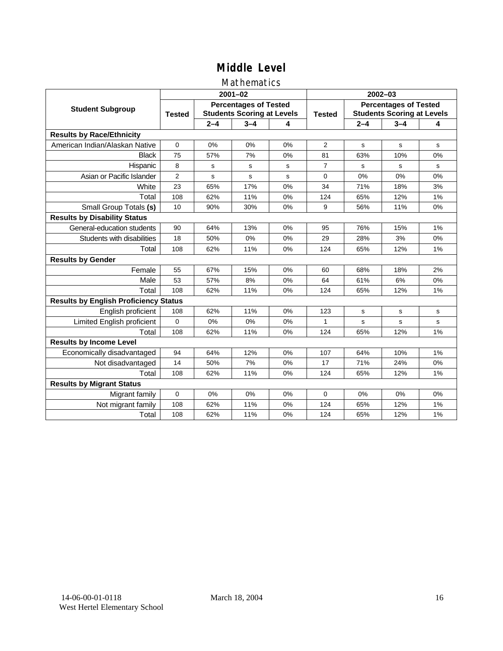## Mathematics

|                                              |                                                                                    |         | $2001 - 02$ |    | $2002 - 03$    |                                                                   |         |    |  |
|----------------------------------------------|------------------------------------------------------------------------------------|---------|-------------|----|----------------|-------------------------------------------------------------------|---------|----|--|
| <b>Student Subgroup</b>                      | <b>Percentages of Tested</b><br><b>Students Scoring at Levels</b><br><b>Tested</b> |         |             |    | <b>Tested</b>  | <b>Percentages of Tested</b><br><b>Students Scoring at Levels</b> |         |    |  |
|                                              |                                                                                    | $2 - 4$ | $3 - 4$     | 4  |                | $2 - 4$                                                           | $3 - 4$ | 4  |  |
| <b>Results by Race/Ethnicity</b>             |                                                                                    |         |             |    |                |                                                                   |         |    |  |
| American Indian/Alaskan Native               | $\Omega$                                                                           | 0%      | 0%          | 0% | $\overline{2}$ | s                                                                 | s       | s  |  |
| <b>Black</b>                                 | 75                                                                                 | 57%     | 7%          | 0% | 81             | 63%                                                               | 10%     | 0% |  |
| Hispanic                                     | 8                                                                                  | s       | s           | s  | $\overline{7}$ | s                                                                 | s       | s  |  |
| Asian or Pacific Islander                    | $\overline{2}$                                                                     | s       | $\mathbf s$ | s  | $\mathbf 0$    | 0%                                                                | 0%      | 0% |  |
| White                                        | 23                                                                                 | 65%     | 17%         | 0% | 34             | 71%                                                               | 18%     | 3% |  |
| Total                                        | 108                                                                                | 62%     | 11%         | 0% | 124            | 65%                                                               | 12%     | 1% |  |
| Small Group Totals (s)                       | 10                                                                                 | 90%     | 30%         | 0% | 9              | 56%                                                               | 11%     | 0% |  |
| <b>Results by Disability Status</b>          |                                                                                    |         |             |    |                |                                                                   |         |    |  |
| General-education students                   | 90                                                                                 | 64%     | 13%         | 0% | 95             | 76%                                                               | 15%     | 1% |  |
| Students with disabilities                   | 18                                                                                 | 50%     | 0%          | 0% | 29             | 28%                                                               | 3%      | 0% |  |
| Total                                        | 108                                                                                | 62%     | 11%         | 0% | 124            | 65%                                                               | 12%     | 1% |  |
| <b>Results by Gender</b>                     |                                                                                    |         |             |    |                |                                                                   |         |    |  |
| Female                                       | 55                                                                                 | 67%     | 15%         | 0% | 60             | 68%                                                               | 18%     | 2% |  |
| Male                                         | 53                                                                                 | 57%     | 8%          | 0% | 64             | 61%                                                               | 6%      | 0% |  |
| Total                                        | 108                                                                                | 62%     | 11%         | 0% | 124            | 65%                                                               | 12%     | 1% |  |
| <b>Results by English Proficiency Status</b> |                                                                                    |         |             |    |                |                                                                   |         |    |  |
| English proficient                           | 108                                                                                | 62%     | 11%         | 0% | 123            | s                                                                 | s       | s  |  |
| Limited English proficient                   | 0                                                                                  | 0%      | 0%          | 0% | 1              | s                                                                 | s       | s  |  |
| Total                                        | 108                                                                                | 62%     | 11%         | 0% | 124            | 65%                                                               | 12%     | 1% |  |
| <b>Results by Income Level</b>               |                                                                                    |         |             |    |                |                                                                   |         |    |  |
| Economically disadvantaged                   | 94                                                                                 | 64%     | 12%         | 0% | 107            | 64%                                                               | 10%     | 1% |  |
| Not disadvantaged                            | 14                                                                                 | 50%     | 7%          | 0% | 17             | 71%                                                               | 24%     | 0% |  |
| Total                                        | 108                                                                                | 62%     | 11%         | 0% | 124            | 65%                                                               | 12%     | 1% |  |
| <b>Results by Migrant Status</b>             |                                                                                    |         |             |    |                |                                                                   |         |    |  |
| Migrant family                               | 0                                                                                  | 0%      | 0%          | 0% | $\Omega$       | 0%                                                                | 0%      | 0% |  |
| Not migrant family                           | 108                                                                                | 62%     | 11%         | 0% | 124            | 65%                                                               | 12%     | 1% |  |
| Total                                        | 108                                                                                | 62%     | 11%         | 0% | 124            | 65%                                                               | 12%     | 1% |  |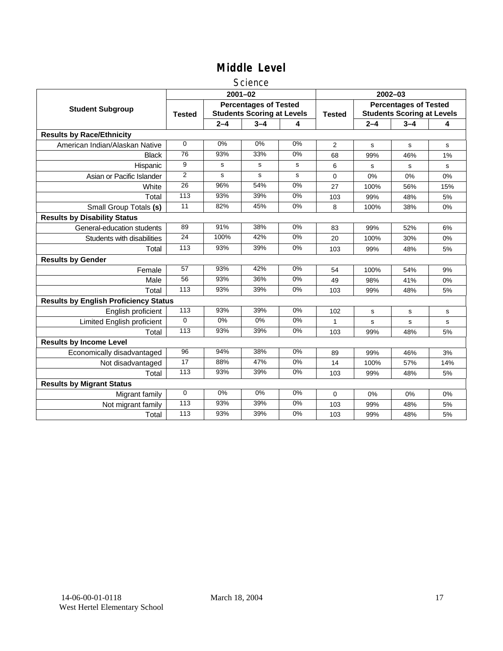### Science

|                                              |                |         | $2001 - 02$                                                       |       | $2002 - 03$    |                                                                   |         |     |  |
|----------------------------------------------|----------------|---------|-------------------------------------------------------------------|-------|----------------|-------------------------------------------------------------------|---------|-----|--|
| <b>Student Subgroup</b>                      | <b>Tested</b>  |         | <b>Percentages of Tested</b><br><b>Students Scoring at Levels</b> |       | <b>Tested</b>  | <b>Percentages of Tested</b><br><b>Students Scoring at Levels</b> |         |     |  |
|                                              |                | $2 - 4$ | $3 - 4$                                                           | 4     |                | $2 - 4$                                                           | $3 - 4$ | 4   |  |
| <b>Results by Race/Ethnicity</b>             |                |         |                                                                   |       |                |                                                                   |         |     |  |
| American Indian/Alaskan Native               | $\Omega$       | 0%      | 0%                                                                | 0%    | $\overline{2}$ | s                                                                 | s       | s   |  |
| <b>Black</b>                                 | 76             | 93%     | 33%                                                               | 0%    | 68             | 99%                                                               | 46%     | 1%  |  |
| Hispanic                                     | 9              | s       | s                                                                 | s     | 6              | s                                                                 | s       | s   |  |
| Asian or Pacific Islander                    | $\overline{2}$ | s       | s                                                                 | s     | 0              | 0%                                                                | 0%      | 0%  |  |
| White                                        | 26             | 96%     | 54%                                                               | $0\%$ | 27             | 100%                                                              | 56%     | 15% |  |
| Total                                        | 113            | 93%     | 39%                                                               | 0%    | 103            | 99%                                                               | 48%     | 5%  |  |
| Small Group Totals (s)                       | 11             | 82%     | 45%                                                               | $0\%$ | 8              | 100%                                                              | 38%     | 0%  |  |
| <b>Results by Disability Status</b>          |                |         |                                                                   |       |                |                                                                   |         |     |  |
| General-education students                   | 89             | 91%     | 38%                                                               | 0%    | 83             | 99%                                                               | 52%     | 6%  |  |
| Students with disabilities                   | 24             | 100%    | 42%                                                               | 0%    | 20             | 100%                                                              | 30%     | 0%  |  |
| Total                                        | 113            | 93%     | 39%                                                               | 0%    | 103            | 99%                                                               | 48%     | 5%  |  |
| <b>Results by Gender</b>                     |                |         |                                                                   |       |                |                                                                   |         |     |  |
| Female                                       | 57             | 93%     | 42%                                                               | 0%    | 54             | 100%                                                              | 54%     | 9%  |  |
| Male                                         | 56             | 93%     | 36%                                                               | 0%    | 49             | 98%                                                               | 41%     | 0%  |  |
| Total                                        | 113            | 93%     | 39%                                                               | 0%    | 103            | 99%                                                               | 48%     | 5%  |  |
| <b>Results by English Proficiency Status</b> |                |         |                                                                   |       |                |                                                                   |         |     |  |
| English proficient                           | 113            | 93%     | 39%                                                               | 0%    | 102            | $\mathbf s$                                                       | s       | s   |  |
| Limited English proficient                   | $\Omega$       | 0%      | $0\%$                                                             | $0\%$ |                | s                                                                 | s       | s   |  |
| Total                                        | 113            | 93%     | 39%                                                               | 0%    | 103            | 99%                                                               | 48%     | 5%  |  |
| <b>Results by Income Level</b>               |                |         |                                                                   |       |                |                                                                   |         |     |  |
| Economically disadvantaged                   | 96             | 94%     | 38%                                                               | 0%    | 89             | 99%                                                               | 46%     | 3%  |  |
| Not disadvantaged                            | 17             | 88%     | 47%                                                               | 0%    | 14             | 100%                                                              | 57%     | 14% |  |
| Total                                        | 113            | 93%     | 39%                                                               | 0%    | 103            | 99%                                                               | 48%     | 5%  |  |
| <b>Results by Migrant Status</b>             |                |         |                                                                   |       |                |                                                                   |         |     |  |
| Migrant family                               | $\mathbf 0$    | 0%      | 0%                                                                | 0%    | 0              | 0%                                                                | 0%      | 0%  |  |
| Not migrant family                           | 113            | 93%     | 39%                                                               | 0%    | 103            | 99%                                                               | 48%     | 5%  |  |
| Total                                        | 113            | 93%     | 39%                                                               | 0%    | 103            | 99%                                                               | 48%     | 5%  |  |